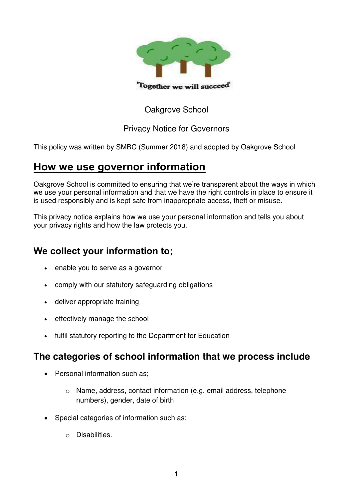

### Oakgrove School

#### Privacy Notice for Governors

This policy was written by SMBC (Summer 2018) and adopted by Oakgrove School

## **How we use governor information**

Oakgrove School is committed to ensuring that we're transparent about the ways in which we use your personal information and that we have the right controls in place to ensure it is used responsibly and is kept safe from inappropriate access, theft or misuse.

This privacy notice explains how we use your personal information and tells you about your privacy rights and how the law protects you.

## **We collect your information to;**

- enable you to serve as a governor
- comply with our statutory safeguarding obligations
- deliver appropriate training
- effectively manage the school
- fulfil statutory reporting to the Department for Education

## **The categories of school information that we process include**

- Personal information such as:
	- o Name, address, contact information (e.g. email address, telephone numbers), gender, date of birth
- Special categories of information such as;
	- o Disabilities.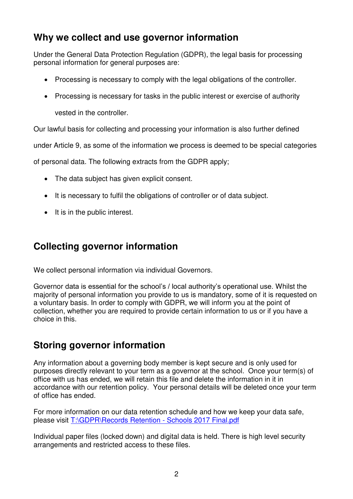## **Why we collect and use governor information**

Under the General Data Protection Regulation (GDPR), the legal basis for processing personal information for general purposes are:

- Processing is necessary to comply with the legal obligations of the controller.
- Processing is necessary for tasks in the public interest or exercise of authority vested in the controller.

Our lawful basis for collecting and processing your information is also further defined

under Article 9, as some of the information we process is deemed to be special categories

of personal data. The following extracts from the GDPR apply;

- The data subject has given explicit consent.
- It is necessary to fulfil the obligations of controller or of data subject.
- $\bullet$  It is in the public interest.

## **Collecting governor information**

We collect personal information via individual Governors.

Governor data is essential for the school's / local authority's operational use. Whilst the majority of personal information you provide to us is mandatory, some of it is requested on a voluntary basis. In order to comply with GDPR, we will inform you at the point of collection, whether you are required to provide certain information to us or if you have a choice in this.

# **Storing governor information**

Any information about a governing body member is kept secure and is only used for purposes directly relevant to your term as a governor at the school. Once your term(s) of office with us has ended, we will retain this file and delete the information in it in accordance with our retention policy. Your personal details will be deleted once your term of office has ended.

For more information on our data retention schedule and how we keep your data safe, please visit [T:\GDPR\Records Retention - Schools 2017 Final.pdf](file://OAK-SR-1.oakgrove.internal/RMStaff/GDPR/Records%20Retention%20-%20Schools%202017%20Final.pdf)

Individual paper files (locked down) and digital data is held. There is high level security arrangements and restricted access to these files.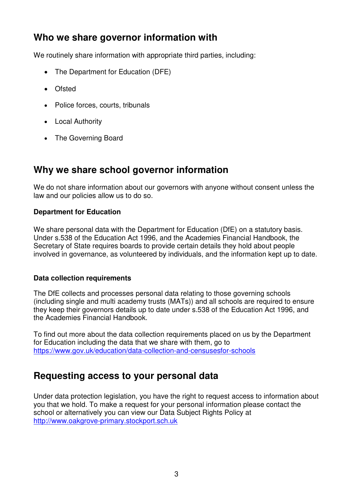## **Who we share governor information with**

We routinely share information with appropriate third parties, including:

- The Department for Education (DFE)
- Ofsted
- Police forces, courts, tribunals
- Local Authority
- The Governing Board

## **Why we share school governor information**

We do not share information about our governors with anyone without consent unless the law and our policies allow us to do so.

#### **Department for Education**

We share personal data with the Department for Education (DfE) on a statutory basis. Under s.538 of the Education Act 1996, and the Academies Financial Handbook, the Secretary of State requires boards to provide certain details they hold about people involved in governance, as volunteered by individuals, and the information kept up to date.

#### **Data collection requirements**

The DfE collects and processes personal data relating to those governing schools (including single and multi academy trusts (MATs)) and all schools are required to ensure they keep their governors details up to date under s.538 of the Education Act 1996, and the Academies Financial Handbook.

To find out more about the data collection requirements placed on us by the Department for Education including the data that we share with them, go to <https://www.gov.uk/education/data-collection-and-censusesfor-schools>

### **Requesting access to your personal data**

Under data protection legislation, you have the right to request access to information about you that we hold. To make a request for your personal information please contact the school or alternatively you can view our Data Subject Rights Policy at [http://www.oakgrove-primary.stockport.sch.uk](http://www.oakgrove-primary.stockport.sch.uk/)